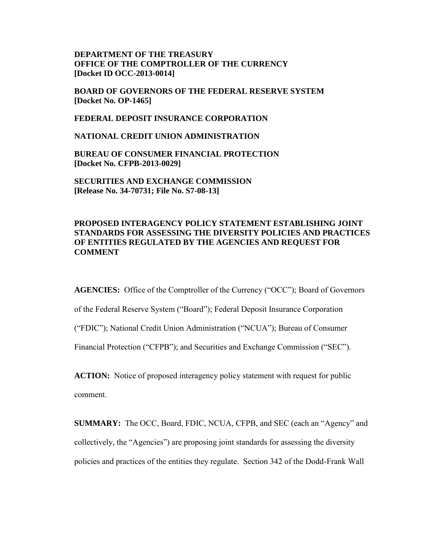## **DEPARTMENT OF THE TREASURY OFFICE OF THE COMPTROLLER OF THE CURRENCY [Docket ID OCC-2013-0014]**

**BOARD OF GOVERNORS OF THE FEDERAL RESERVE SYSTEM [Docket No. OP-1465]** 

**FEDERAL DEPOSIT INSURANCE CORPORATION** 

**NATIONAL CREDIT UNION ADMINISTRATION** 

**BUREAU OF CONSUMER FINANCIAL PROTECTION [Docket No. CFPB-2013-0029]** 

**SECURITIES AND EXCHANGE COMMISSION [Release No. 34-70731; File No. S7-08-13]** 

## **PROPOSED INTERAGENCY POLICY STATEMENT ESTABLISHING JOINT STANDARDS FOR ASSESSING THE DIVERSITY POLICIES AND PRACTICES OF ENTITIES REGULATED BY THE AGENCIES AND REQUEST FOR COMMENT**

**AGENCIES:** Office of the Comptroller of the Currency ("OCC"); Board of Governors

of the Federal Reserve System ("Board"); Federal Deposit Insurance Corporation

("FDIC"); National Credit Union Administration ("NCUA"); Bureau of Consumer

Financial Protection ("CFPB"); and Securities and Exchange Commission ("SEC").

**ACTION:** Notice of proposed interagency policy statement with request for public comment.

**SUMMARY:** The OCC, Board, FDIC, NCUA, CFPB, and SEC (each an "Agency" and collectively, the "Agencies") are proposing joint standards for assessing the diversity policies and practices of the entities they regulate. Section 342 of the Dodd-Frank Wall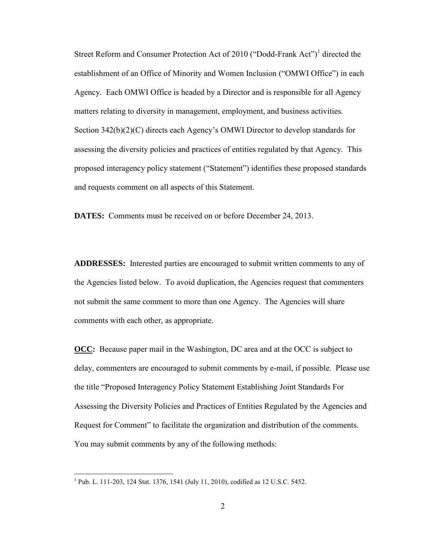Street Reform and Consumer Protection Act of 2010 ("Dodd-Frank Act")<sup>1</sup> directed the establishment of an Office of Minority and Women Inclusion ("OMWI Office") in each Agency. Each OMWI Office is headed by a Director and is responsible for all Agency matters relating to diversity in management, employment, and business activities. Section 342(b)(2)(C) directs each Agency's OMWI Director to develop standards for assessing the diversity policies and practices of entities regulated by that Agency. This proposed interagency policy statement ("Statement") identifies these proposed standards and requests comment on all aspects of this Statement.

**DATES:** Comments must be received on or before December 24, 2013.

**ADDRESSES:** Interested parties are encouraged to submit written comments to any of the Agencies listed below. To avoid duplication, the Agencies request that commenters not submit the same comment to more than one Agency. The Agencies will share comments with each other, as appropriate.

**OCC:** Because paper mail in the Washington, DC area and at the OCC is subject to delay, commenters are encouraged to submit comments by e-mail, if possible. Please use the title "Proposed Interagency Policy Statement Establishing Joint Standards For Assessing the Diversity Policies and Practices of Entities Regulated by the Agencies and Request for Comment" to facilitate the organization and distribution of the comments. You may submit comments by any of the following methods:

 1 Pub. L. 111-203, 124 Stat. 1376, 1541 (July 11, 2010), codified as 12 U.S.C. 5452.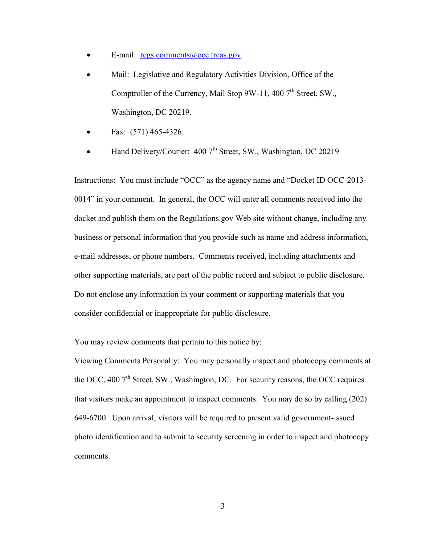- E-mail: <u>regs.comments@occ.treas.gov</u>.
- Mail: Legislative and Regulatory Activities Division, Office of the Comptroller of the Currency, Mail Stop 9W-11, 400  $7<sup>th</sup>$  Street, SW., Washington, DC 20219.
- Fax: (571) 465-4326.
- Hand Delivery/Courier: 400 7<sup>th</sup> Street, SW., Washington, DC 20219

Instructions: You must include "OCC" as the agency name and "Docket ID OCC-2013- 0014" in your comment.In general, the OCC will enter all comments received into the docket and publish them on the Regulations.gov Web site without change, including any business or personal information that you provide such as name and address information, e-mail addresses, or phone numbers. Comments received, including attachments and other supporting materials, are part of the public record and subject to public disclosure. Do not enclose any information in your comment or supporting materials that you consider confidential or inappropriate for public disclosure.

You may review comments that pertain to this notice by:

Viewing Comments Personally: You may personally inspect and photocopy comments at the OCC, 400  $7<sup>th</sup>$  Street, SW., Washington, DC. For security reasons, the OCC requires that visitors make an appointment to inspect comments. You may do so by calling (202) 649-6700. Upon arrival, visitors will be required to present valid government-issued photo identification and to submit to security screening in order to inspect and photocopy comments.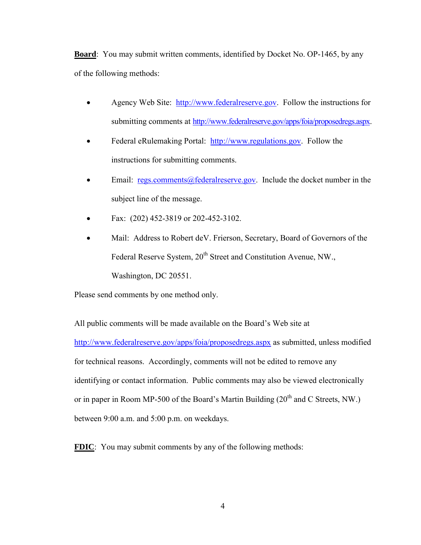**Board**: You may submit written comments, identified by Docket No. OP-1465, by any of the following methods:

- Agency Web Site:[http://www.federalreserve.gov.](http://www.federalreserve.gov/) Follow the instructions for submitting comments at [http://www.federalreserve.gov/apps/foia/proposedregs.aspx.](http://www.federalreserve.gov/apps/foia/proposedregs.aspx)
- Federal eRulemaking Portal: [http://www.regulations.gov.](http://www.regulations.gov/) Follow the instructions for submitting comments.
- Email: [regs.comments@federalreserve.gov.](mailto:regs.comments@federalreserve.gov) Include the docket number in the subject line of the message.
- Fax: (202) 452-3819 or 202-452-3102.
- Mail: Address to Robert deV. Frierson, Secretary, Board of Governors of the Federal Reserve System, 20<sup>th</sup> Street and Constitution Avenue, NW., Washington, DC 20551.

Please send comments by one method only.

All public comments will be made available on the Board's Web site at <http://www.federalreserve.gov/apps/foia/proposedregs.aspx> as submitted, unless modified for technical reasons. Accordingly, comments will not be edited to remove any identifying or contact information. Public comments may also be viewed electronically or in paper in Room MP-500 of the Board's Martin Building  $(20<sup>th</sup>$  and C Streets, NW.) between 9:00 a.m. and 5:00 p.m. on weekdays.

**FDIC**: You may submit comments by any of the following methods: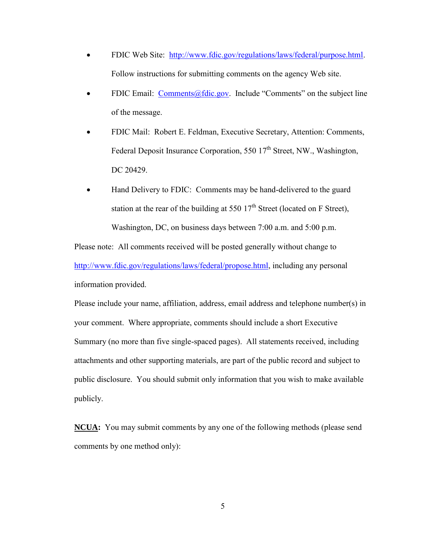- FDIC Web Site: [http://www.fdic.gov/regulations/laws/federal/purpose.html.](http://www.fdic.gov/regulations/laws/federal/purpose.html) Follow instructions for submitting comments on the agency Web site.
- FDIC Email: [Comments@fdic.gov.](mailto:Comments@fdic.gov) Include "Comments" on the subject line of the message.
- FDIC Mail: Robert E. Feldman, Executive Secretary, Attention: Comments, Federal Deposit Insurance Corporation, 550  $17<sup>th</sup>$  Street, NW., Washington, DC 20429.
- Hand Delivery to FDIC: Comments may be hand-delivered to the guard station at the rear of the building at 550  $17<sup>th</sup>$  Street (located on F Street), Washington, DC, on business days between 7:00 a.m. and 5:00 p.m.

Please note: All comments received will be posted generally without change to [http://www.fdic.gov/regulations/laws/federal/propose.html,](http://www.fdic.gov/regulations/laws/federal/propose.html) including any personal information provided.

Please include your name, affiliation, address, email address and telephone number(s) in your comment. Where appropriate, comments should include a short Executive Summary (no more than five single-spaced pages). All statements received, including attachments and other supporting materials, are part of the public record and subject to public disclosure. You should submit only information that you wish to make available publicly.

**NCUA:** You may submit comments by any one of the following methods (please send comments by one method only):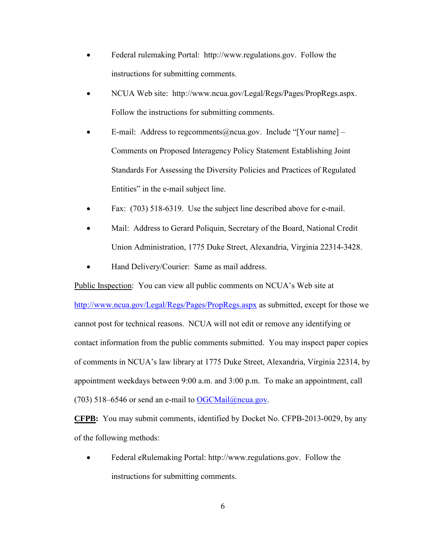- Federal rulemaking Portal: [http://www.regulations.gov.](http://www.regulations.gov/) Follow the instructions for submitting comments.
- NCUA Web site: <http://www.ncua.gov/Legal/Regs/Pages/PropRegs.aspx.> Follow the instructions for submitting comments.
- E-mail: Address to [regcomments@ncua.gov.](mailto:regcomments@ncua.gov) Include "[Your name]  $-$ Comments on Proposed Interagency Policy Statement Establishing Joint Standards For Assessing the Diversity Policies and Practices of Regulated Entities" in the e-mail subject line.
- Fax: (703) 518-6319. Use the subject line described above for e-mail.
- Mail: Address to Gerard Poliquin, Secretary of the Board, National Credit Union Administration, 1775 Duke Street, Alexandria, Virginia 22314-3428.
- Hand Delivery/Courier: Same as mail address.

Public Inspection: You can view all public comments on NCUA's Web site at

<http://www.ncua.gov/Legal/Regs/Pages/PropRegs.aspx> as submitted, except for those we cannot post for technical reasons. NCUA will not edit or remove any identifying or contact information from the public comments submitted. You may inspect paper copies of comments in NCUA's law library at 1775 Duke Street, Alexandria, Virginia 22314, by appointment weekdays between 9:00 a.m. and 3:00 p.m. To make an appointment, call (703) 518–6546 or send an e-mail to  $OGCMail@ncua.gov$ .

**CFPB:**You may submit comments, identified by Docket No. CFPB-2013-0029, by any of the following methods:

• Federal eRulemaking Portal: http://www.regulations.gov. Follow the instructions for submitting comments.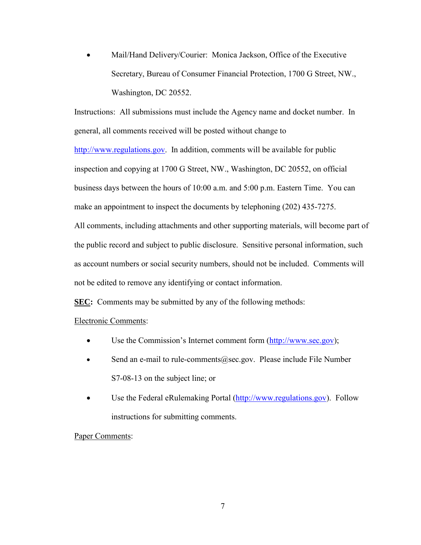Mail/Hand Delivery/Courier: Monica Jackson, Office of the Executive Secretary, Bureau of Consumer Financial Protection, 1700 G Street, NW., Washington, DC 20552.

Instructions: All submissions must include the Agency name and docket number. In general, all comments received will be posted without change to

[http://www.regulations.gov.](http://www.regulations.gov/) In addition, comments will be available for public inspection and copying at 1700 G Street, NW., Washington, DC 20552, on official business days between the hours of 10:00 a.m. and 5:00 p.m. Eastern Time. You can make an appointment to inspect the documents by telephoning (202) 435-7275. All comments, including attachments and other supporting materials, will become part of

the public record and subject to public disclosure. Sensitive personal information, such as account numbers or social security numbers, should not be included. Comments will not be edited to remove any identifying or contact information.

**SEC:** Comments may be submitted by any of the following methods:

# Electronic Comments:

- Use the Commission's Internet comment form [\(http://www.sec.gov\)](http://www.sec.gov/);
- Send an e-mail to rule-comments@sec.gov. Please include File Number S7-08-13 on the subject line; or
- Use the Federal eRulemaking Portal [\(http://www.regulations.gov\)](http://www.regulations.gov/). Follow instructions for submitting comments.

### Paper Comments: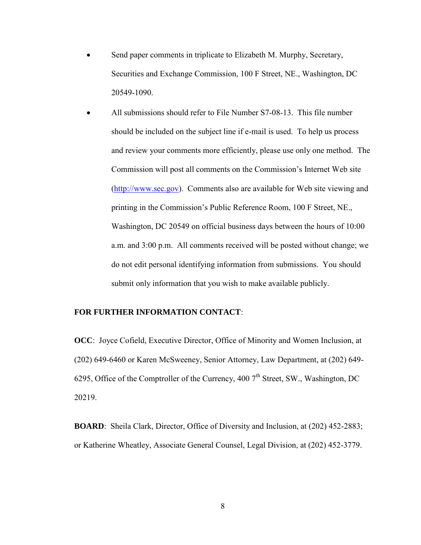- Send paper comments in triplicate to Elizabeth M. Murphy, Secretary, Securities and Exchange Commission, 100 F Street, NE., Washington, DC 20549-1090.
- All submissions should refer to File Number S7-08-13. This file number should be included on the subject line if e-mail is used. To help us process and review your comments more efficiently, please use only one method. The Commission will post all comments on the Commission's Internet Web site [\(http://www.sec.gov\)](http://www.sec.gov/). Comments also are available for Web site viewing and printing in the Commission's Public Reference Room, 100 F Street, NE., Washington, DC 20549 on official business days between the hours of 10:00 a.m. and 3:00 p.m. All comments received will be posted without change; we do not edit personal identifying information from submissions. You should submit only information that you wish to make available publicly.

### **FOR FURTHER INFORMATION CONTACT**:

**OCC**: Joyce Cofield, Executive Director, Office of Minority and Women Inclusion, at (202) 649-6460 or Karen McSweeney, Senior Attorney, Law Department, at (202) 649- 6295, Office of the Comptroller of the Currency, 400  $7<sup>th</sup>$  Street, SW., Washington, DC 20219.

**BOARD**: Sheila Clark, Director, Office of Diversity and Inclusion, at (202) 452-2883; or Katherine Wheatley, Associate General Counsel, Legal Division, at (202) 452-3779.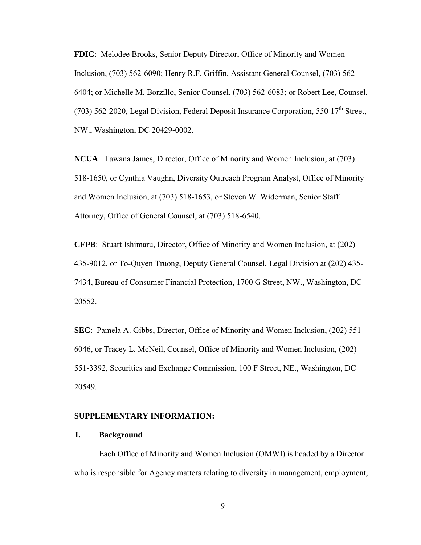**FDIC**: Melodee Brooks, Senior Deputy Director, Office of Minority and Women Inclusion, (703) 562-6090; Henry R.F. Griffin, Assistant General Counsel, (703) 562- 6404; or Michelle M. Borzillo, Senior Counsel, (703) 562-6083; or Robert Lee, Counsel, (703) 562-2020, Legal Division, Federal Deposit Insurance Corporation, 550  $17<sup>th</sup>$  Street, NW., Washington, DC 20429-0002.

**NCUA**: Tawana James, Director, Office of Minority and Women Inclusion, at (703) 518-1650, or Cynthia Vaughn, Diversity Outreach Program Analyst, Office of Minority and Women Inclusion, at (703) 518-1653, or Steven W. Widerman, Senior Staff Attorney, Office of General Counsel, at (703) 518-6540.

**CFPB**: Stuart Ishimaru, Director, Office of Minority and Women Inclusion, at (202) 435-9012, or To-Quyen Truong, Deputy General Counsel, Legal Division at (202) 435- 7434, Bureau of Consumer Financial Protection, 1700 G Street, NW., Washington, DC 20552.

**SEC**: Pamela A. Gibbs, Director, Office of Minority and Women Inclusion, (202) 551- 6046, or Tracey L. McNeil, Counsel, Office of Minority and Women Inclusion, (202) 551-3392, Securities and Exchange Commission, 100 F Street, NE., Washington, DC 20549.

#### **SUPPLEMENTARY INFORMATION:**

### **I. Background**

Each Office of Minority and Women Inclusion (OMWI) is headed by a Director who is responsible for Agency matters relating to diversity in management, employment,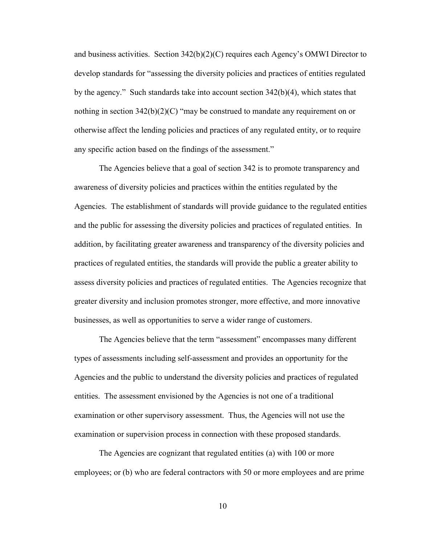and business activities. Section 342(b)(2)(C) requires each Agency's OMWI Director to develop standards for "assessing the diversity policies and practices of entities regulated by the agency." Such standards take into account section  $342(b)(4)$ , which states that nothing in section  $342(b)(2)(C)$  "may be construed to mandate any requirement on or otherwise affect the lending policies and practices of any regulated entity, or to require any specific action based on the findings of the assessment."

The Agencies believe that a goal of section 342 is to promote transparency and awareness of diversity policies and practices within the entities regulated by the Agencies. The establishment of standards will provide guidance to the regulated entities and the public for assessing the diversity policies and practices of regulated entities. In addition, by facilitating greater awareness and transparency of the diversity policies and practices of regulated entities, the standards will provide the public a greater ability to assess diversity policies and practices of regulated entities. The Agencies recognize that greater diversity and inclusion promotes stronger, more effective, and more innovative businesses, as well as opportunities to serve a wider range of customers.

The Agencies believe that the term "assessment" encompasses many different types of assessments including self-assessment and provides an opportunity for the Agencies and the public to understand the diversity policies and practices of regulated entities. The assessment envisioned by the Agencies is not one of a traditional examination or other supervisory assessment. Thus, the Agencies will not use the examination or supervision process in connection with these proposed standards.

The Agencies are cognizant that regulated entities (a) with 100 or more employees; or (b) who are federal contractors with 50 or more employees and are prime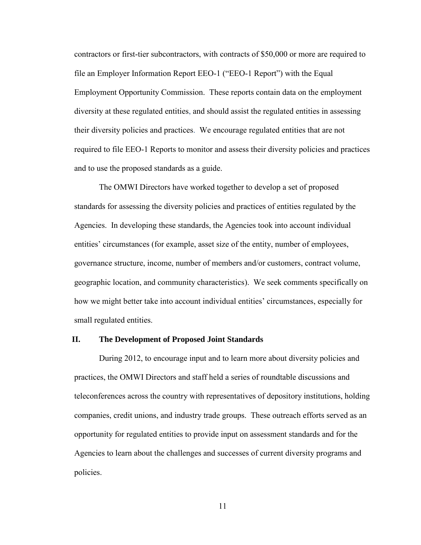contractors or first-tier subcontractors, with contracts of \$50,000 or more are required to file an Employer Information Report EEO-1 ("EEO-1 Report") with the Equal Employment Opportunity Commission. These reports contain data on the employment diversity at these regulated entities, and should assist the regulated entities in assessing their diversity policies and practices. We encourage regulated entities that are not required to file EEO-1 Reports to monitor and assess their diversity policies and practices and to use the proposed standards as a guide.

The OMWI Directors have worked together to develop a set of proposed standards for assessing the diversity policies and practices of entities regulated by the Agencies. In developing these standards, the Agencies took into account individual entities' circumstances (for example, asset size of the entity, number of employees, governance structure, income, number of members and/or customers, contract volume, geographic location, and community characteristics). We seek comments specifically on how we might better take into account individual entities' circumstances, especially for small regulated entities.

### **II. The Development of Proposed Joint Standards**

During 2012, to encourage input and to learn more about diversity policies and practices, the OMWI Directors and staff held a series of roundtable discussions and teleconferences across the country with representatives of depository institutions, holding companies, credit unions, and industry trade groups. These outreach efforts served as an opportunity for regulated entities to provide input on assessment standards and for the Agencies to learn about the challenges and successes of current diversity programs and policies.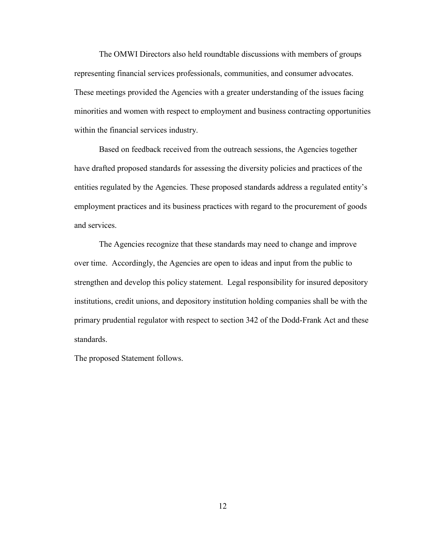The OMWI Directors also held roundtable discussions with members of groups representing financial services professionals, communities, and consumer advocates. These meetings provided the Agencies with a greater understanding of the issues facing minorities and women with respect to employment and business contracting opportunities within the financial services industry.

Based on feedback received from the outreach sessions, the Agencies together have drafted proposed standards for assessing the diversity policies and practices of the entities regulated by the Agencies. These proposed standards address a regulated entity's employment practices and its business practices with regard to the procurement of goods and services.

The Agencies recognize that these standards may need to change and improve over time. Accordingly, the Agencies are open to ideas and input from the public to strengthen and develop this policy statement. Legal responsibility for insured depository institutions, credit unions, and depository institution holding companies shall be with the primary prudential regulator with respect to section 342 of the Dodd-Frank Act and these standards.

The proposed Statement follows.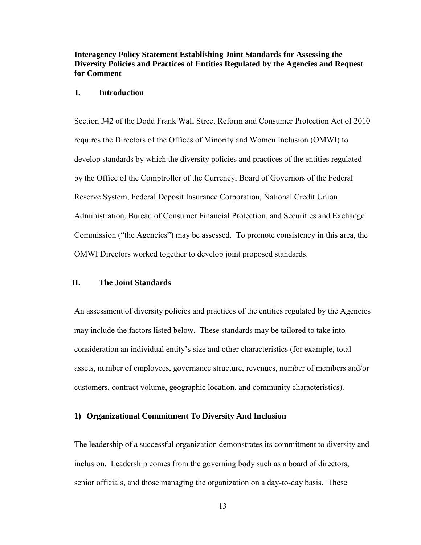## **Interagency Policy Statement Establishing Joint Standards for Assessing the Diversity Policies and Practices of Entities Regulated by the Agencies and Request for Comment**

### **I. Introduction**

Section 342 of the Dodd Frank Wall Street Reform and Consumer Protection Act of 2010 requires the Directors of the Offices of Minority and Women Inclusion (OMWI) to develop standards by which the diversity policies and practices of the entities regulated by the Office of the Comptroller of the Currency, Board of Governors of the Federal Reserve System, Federal Deposit Insurance Corporation, National Credit Union Administration, Bureau of Consumer Financial Protection, and Securities and Exchange Commission ("the Agencies") may be assessed. To promote consistency in this area, the OMWI Directors worked together to develop joint proposed standards.

### **II. The Joint Standards**

An assessment of diversity policies and practices of the entities regulated by the Agencies may include the factors listed below. These standards may be tailored to take into consideration an individual entity's size and other characteristics (for example, total assets, number of employees, governance structure, revenues, number of members and/or customers, contract volume, geographic location, and community characteristics).

### **1) Organizational Commitment To Diversity And Inclusion**

The leadership of a successful organization demonstrates its commitment to diversity and inclusion. Leadership comes from the governing body such as a board of directors, senior officials, and those managing the organization on a day-to-day basis. These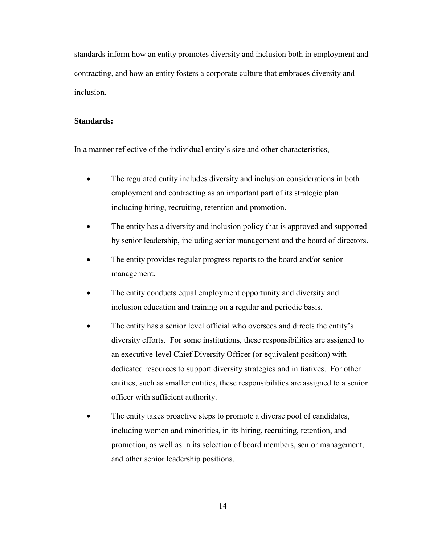standards inform how an entity promotes diversity and inclusion both in employment and contracting, and how an entity fosters a corporate culture that embraces diversity and inclusion.

#### **Standards:**

In a manner reflective of the individual entity's size and other characteristics,

- The regulated entity includes diversity and inclusion considerations in both employment and contracting as an important part of its strategic plan including hiring, recruiting, retention and promotion.
- The entity has a diversity and inclusion policy that is approved and supported by senior leadership, including senior management and the board of directors.
- The entity provides regular progress reports to the board and/or senior management.
- The entity conducts equal employment opportunity and diversity and inclusion education and training on a regular and periodic basis.
- The entity has a senior level official who oversees and directs the entity's diversity efforts. For some institutions, these responsibilities are assigned to an executive-level Chief Diversity Officer (or equivalent position) with dedicated resources to support diversity strategies and initiatives. For other entities, such as smaller entities, these responsibilities are assigned to a senior officer with sufficient authority.
- The entity takes proactive steps to promote a diverse pool of candidates, including women and minorities, in its hiring, recruiting, retention, and promotion, as well as in its selection of board members, senior management, and other senior leadership positions.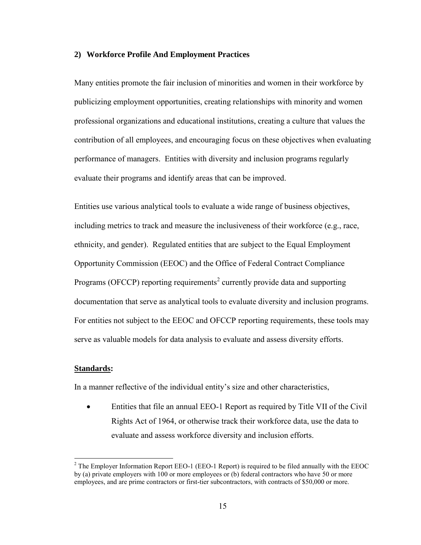#### **2) Workforce Profile And Employment Practices**

Many entities promote the fair inclusion of minorities and women in their workforce by publicizing employment opportunities, creating relationships with minority and women professional organizations and educational institutions, creating a culture that values the contribution of all employees, and encouraging focus on these objectives when evaluating performance of managers. Entities with diversity and inclusion programs regularly evaluate their programs and identify areas that can be improved.

Entities use various analytical tools to evaluate a wide range of business objectives, including metrics to track and measure the inclusiveness of their workforce (e.g., race, ethnicity, and gender). Regulated entities that are subject to the Equal Employment Opportunity Commission (EEOC) and the Office of Federal Contract Compliance Programs (OFCCP) reporting requirements<sup>2</sup> currently provide data and supporting documentation that serve as analytical tools to evaluate diversity and inclusion programs. For entities not subject to the EEOC and OFCCP reporting requirements, these tools may serve as valuable models for data analysis to evaluate and assess diversity efforts.

### **Standards:**

 $\overline{a}$ 

In a manner reflective of the individual entity's size and other characteristics,

 Entities that file an annual EEO-1 Report as required by Title VII of the Civil Rights Act of 1964, or otherwise track their workforce data, use the data to evaluate and assess workforce diversity and inclusion efforts.

<sup>&</sup>lt;sup>2</sup> The Employer Information Report EEO-1 (EEO-1 Report) is required to be filed annually with the EEOC by (a) private employers with 100 or more employees or (b) federal contractors who have 50 or more employees, and are prime contractors or first-tier subcontractors, with contracts of \$50,000 or more.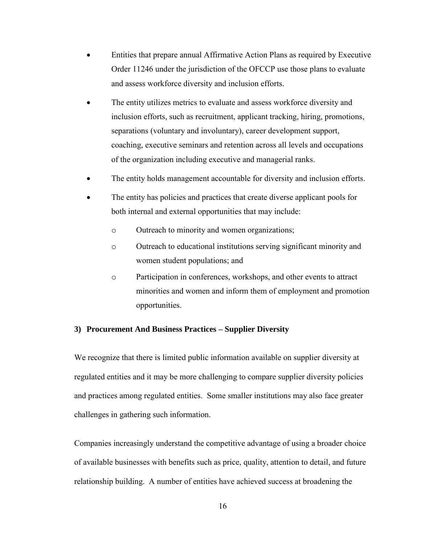- Entities that prepare annual Affirmative Action Plans as required by Executive Order 11246 under the jurisdiction of the OFCCP use those plans to evaluate and assess workforce diversity and inclusion efforts.
- The entity utilizes metrics to evaluate and assess workforce diversity and inclusion efforts, such as recruitment, applicant tracking, hiring, promotions, separations (voluntary and involuntary), career development support, coaching, executive seminars and retention across all levels and occupations of the organization including executive and managerial ranks.
- The entity holds management accountable for diversity and inclusion efforts.
- The entity has policies and practices that create diverse applicant pools for both internal and external opportunities that may include:
	- o Outreach to minority and women organizations;
	- o Outreach to educational institutions serving significant minority and women student populations; and
	- o Participation in conferences, workshops, and other events to attract minorities and women and inform them of employment and promotion opportunities.

#### **3) Procurement And Business Practices – Supplier Diversity**

We recognize that there is limited public information available on supplier diversity at regulated entities and it may be more challenging to compare supplier diversity policies and practices among regulated entities. Some smaller institutions may also face greater challenges in gathering such information.

Companies increasingly understand the competitive advantage of using a broader choice of available businesses with benefits such as price, quality, attention to detail, and future relationship building. A number of entities have achieved success at broadening the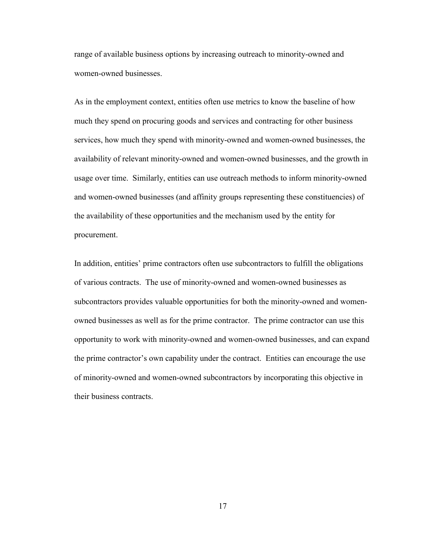range of available business options by increasing outreach to minority-owned and women-owned businesses.

As in the employment context, entities often use metrics to know the baseline of how much they spend on procuring goods and services and contracting for other business services, how much they spend with minority-owned and women-owned businesses, the availability of relevant minority-owned and women-owned businesses, and the growth in usage over time. Similarly, entities can use outreach methods to inform minority-owned and women-owned businesses (and affinity groups representing these constituencies) of the availability of these opportunities and the mechanism used by the entity for procurement.

In addition, entities' prime contractors often use subcontractors to fulfill the obligations of various contracts. The use of minority-owned and women-owned businesses as subcontractors provides valuable opportunities for both the minority-owned and womenowned businesses as well as for the prime contractor. The prime contractor can use this opportunity to work with minority-owned and women-owned businesses, and can expand the prime contractor's own capability under the contract. Entities can encourage the use of minority-owned and women-owned subcontractors by incorporating this objective in their business contracts.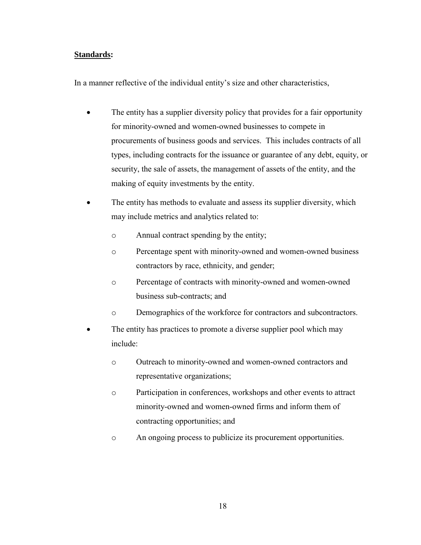## **Standards:**

In a manner reflective of the individual entity's size and other characteristics,

- The entity has a supplier diversity policy that provides for a fair opportunity for minority-owned and women-owned businesses to compete in procurements of business goods and services. This includes contracts of all types, including contracts for the issuance or guarantee of any debt, equity, or security, the sale of assets, the management of assets of the entity, and the making of equity investments by the entity.
- The entity has methods to evaluate and assess its supplier diversity, which may include metrics and analytics related to:
	- o Annual contract spending by the entity;
	- o Percentage spent with minority-owned and women-owned business contractors by race, ethnicity, and gender;
	- o Percentage of contracts with minority-owned and women-owned business sub-contracts; and
	- o Demographics of the workforce for contractors and subcontractors.
- The entity has practices to promote a diverse supplier pool which may include:
	- o Outreach to minority-owned and women-owned contractors and representative organizations;
	- o Participation in conferences, workshops and other events to attract minority-owned and women-owned firms and inform them of contracting opportunities; and
	- o An ongoing process to publicize its procurement opportunities.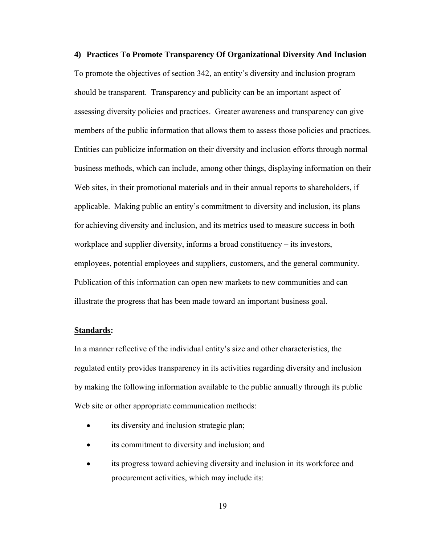**4) Practices To Promote Transparency Of Organizational Diversity And Inclusion**  To promote the objectives of section 342, an entity's diversity and inclusion program should be transparent. Transparency and publicity can be an important aspect of assessing diversity policies and practices. Greater awareness and transparency can give members of the public information that allows them to assess those policies and practices. Entities can publicize information on their diversity and inclusion efforts through normal business methods, which can include, among other things, displaying information on their Web sites, in their promotional materials and in their annual reports to shareholders, if applicable. Making public an entity's commitment to diversity and inclusion, its plans for achieving diversity and inclusion, and its metrics used to measure success in both workplace and supplier diversity, informs a broad constituency – its investors, employees, potential employees and suppliers, customers, and the general community. Publication of this information can open new markets to new communities and can illustrate the progress that has been made toward an important business goal.

#### **Standards:**

In a manner reflective of the individual entity's size and other characteristics, the regulated entity provides transparency in its activities regarding diversity and inclusion by making the following information available to the public annually through its public Web site or other appropriate communication methods:

- its diversity and inclusion strategic plan;
- its commitment to diversity and inclusion; and
- its progress toward achieving diversity and inclusion in its workforce and procurement activities, which may include its: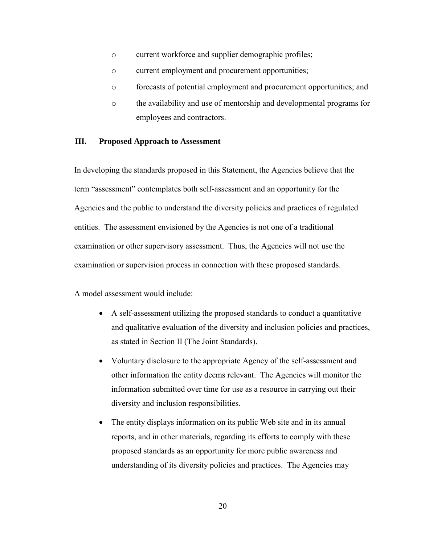- o current workforce and supplier demographic profiles;
- o current employment and procurement opportunities;
- o forecasts of potential employment and procurement opportunities; and
- o the availability and use of mentorship and developmental programs for employees and contractors.

### **III. Proposed Approach to Assessment**

In developing the standards proposed in this Statement, the Agencies believe that the term "assessment" contemplates both self-assessment and an opportunity for the Agencies and the public to understand the diversity policies and practices of regulated entities. The assessment envisioned by the Agencies is not one of a traditional examination or other supervisory assessment. Thus, the Agencies will not use the examination or supervision process in connection with these proposed standards.

A model assessment would include:

- A self-assessment utilizing the proposed standards to conduct a quantitative and qualitative evaluation of the diversity and inclusion policies and practices, as stated in Section II (The Joint Standards).
- Voluntary disclosure to the appropriate Agency of the self-assessment and other information the entity deems relevant. The Agencies will monitor the information submitted over time for use as a resource in carrying out their diversity and inclusion responsibilities.
- The entity displays information on its public Web site and in its annual reports, and in other materials, regarding its efforts to comply with these proposed standards as an opportunity for more public awareness and understanding of its diversity policies and practices. The Agencies may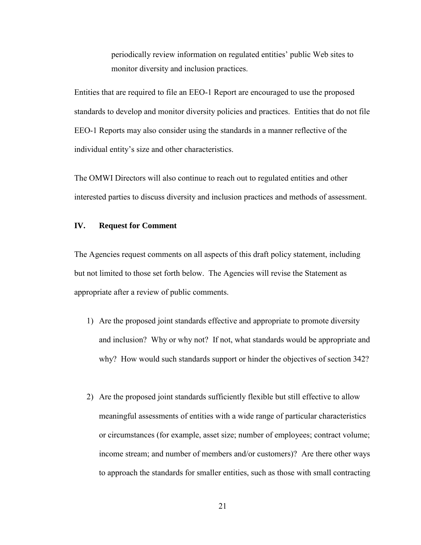periodically review information on regulated entities' public Web sites to monitor diversity and inclusion practices.

Entities that are required to file an EEO-1 Report are encouraged to use the proposed standards to develop and monitor diversity policies and practices. Entities that do not file EEO-1 Reports may also consider using the standards in a manner reflective of the individual entity's size and other characteristics.

The OMWI Directors will also continue to reach out to regulated entities and other interested parties to discuss diversity and inclusion practices and methods of assessment.

#### **IV. Request for Comment**

The Agencies request comments on all aspects of this draft policy statement, including but not limited to those set forth below. The Agencies will revise the Statement as appropriate after a review of public comments.

- 1) Are the proposed joint standards effective and appropriate to promote diversity and inclusion? Why or why not? If not, what standards would be appropriate and why? How would such standards support or hinder the objectives of section 342?
- 2) Are the proposed joint standards sufficiently flexible but still effective to allow meaningful assessments of entities with a wide range of particular characteristics or circumstances (for example, asset size; number of employees; contract volume; income stream; and number of members and/or customers)? Are there other ways to approach the standards for smaller entities, such as those with small contracting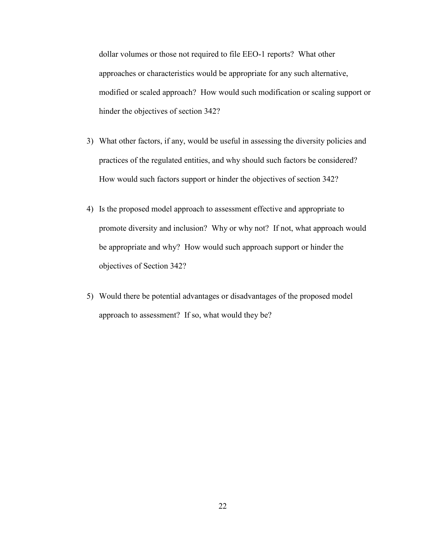dollar volumes or those not required to file EEO-1 reports? What other approaches or characteristics would be appropriate for any such alternative, modified or scaled approach? How would such modification or scaling support or hinder the objectives of section 342?

- 3) What other factors, if any, would be useful in assessing the diversity policies and practices of the regulated entities, and why should such factors be considered? How would such factors support or hinder the objectives of section 342?
- 4) Is the proposed model approach to assessment effective and appropriate to promote diversity and inclusion? Why or why not? If not, what approach would be appropriate and why? How would such approach support or hinder the objectives of Section 342?
- 5) Would there be potential advantages or disadvantages of the proposed model approach to assessment? If so, what would they be?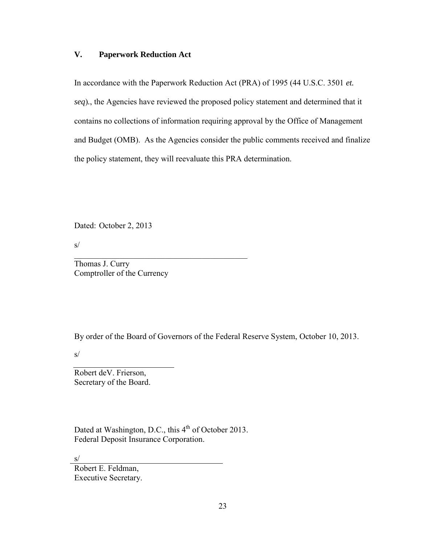## **V. Paperwork Reduction Act**

In accordance with the Paperwork Reduction Act (PRA) of 1995 (44 U.S.C. 3501 *et. seq*)*.*, the Agencies have reviewed the proposed policy statement and determined that it contains no collections of information requiring approval by the Office of Management and Budget (OMB). As the Agencies consider the public comments received and finalize the policy statement, they will reevaluate this PRA determination.

Dated: October 2, 2013

s/

Thomas J. Curry Comptroller of the Currency

By order of the Board of Governors of the Federal Reserve System, October 10, 2013.

s/

Robert deV. Frierson, Secretary of the Board.

Dated at Washington, D.C., this 4<sup>th</sup> of October 2013. Federal Deposit Insurance Corporation.

 $\overline{\phantom{a}}$  , and the set of the set of the set of the set of the set of the set of the set of the set of the set of the set of the set of the set of the set of the set of the set of the set of the set of the set of the s

s/

Robert E. Feldman, Executive Secretary.